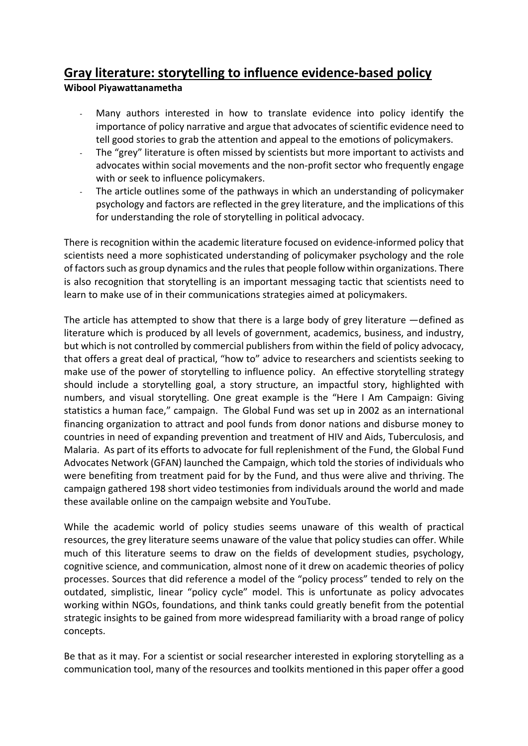## **Gray literature: storytelling to influence evidence-based policy**

## **Wibool Piyawattanametha**

- Many authors interested in how to translate evidence into policy identify the importance of policy narrative and argue that advocates of scientific evidence need to tell good stories to grab the attention and appeal to the emotions of policymakers.
- The "grey" literature is often missed by scientists but more important to activists and advocates within social movements and the non-profit sector who frequently engage with or seek to influence policymakers.
- The article outlines some of the pathways in which an understanding of policymaker psychology and factors are reflected in the grey literature, and the implications of this for understanding the role of storytelling in political advocacy.

There is recognition within the academic literature focused on evidence-informed policy that scientists need a more sophisticated understanding of policymaker psychology and the role of factors such as group dynamics and the rules that people follow within organizations. There is also recognition that storytelling is an important messaging tactic that scientists need to learn to make use of in their communications strategies aimed at policymakers.

The article has attempted to show that there is a large body of grey literature —defined as literature which is produced by all levels of government, academics, business, and industry, but which is not controlled by commercial publishers from within the field of policy advocacy, that offers a great deal of practical, "how to" advice to researchers and scientists seeking to make use of the power of storytelling to influence policy. An effective storytelling strategy should include a storytelling goal, a story structure, an impactful story, highlighted with numbers, and visual storytelling. One great example is the "Here I Am Campaign: Giving statistics a human face," campaign. The Global Fund was set up in 2002 as an international financing organization to attract and pool funds from donor nations and disburse money to countries in need of expanding prevention and treatment of HIV and Aids, Tuberculosis, and Malaria. As part of its efforts to advocate for full replenishment of the Fund, the Global Fund Advocates Network (GFAN) launched the Campaign, which told the stories of individuals who were benefiting from treatment paid for by the Fund, and thus were alive and thriving. The campaign gathered 198 short video testimonies from individuals around the world and made these available online on the campaign website and YouTube.

While the academic world of policy studies seems unaware of this wealth of practical resources, the grey literature seems unaware of the value that policy studies can offer. While much of this literature seems to draw on the fields of development studies, psychology, cognitive science, and communication, almost none of it drew on academic theories of policy processes. Sources that did reference a model of the "policy process" tended to rely on the outdated, simplistic, linear "policy cycle" model. This is unfortunate as policy advocates working within NGOs, foundations, and think tanks could greatly benefit from the potential strategic insights to be gained from more widespread familiarity with a broad range of policy concepts.

Be that as it may. For a scientist or social researcher interested in exploring storytelling as a communication tool, many of the resources and toolkits mentioned in this paper offer a good